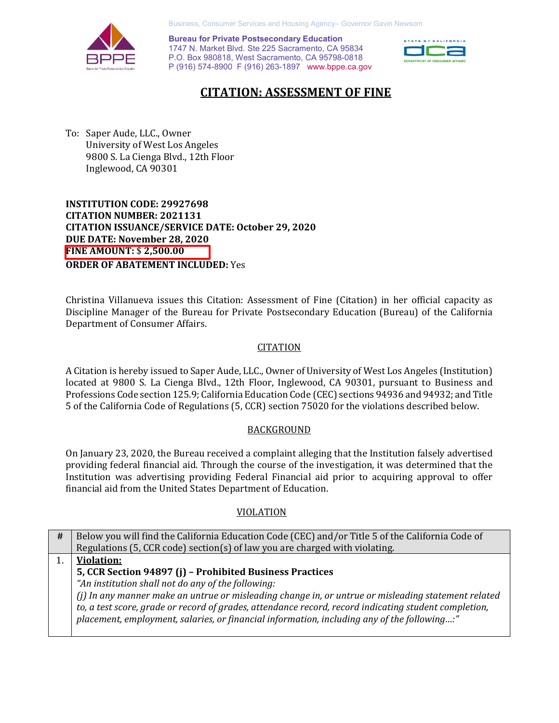

Business, Consumer Services and Housing Agency– Governor Gavin Newsom

 P (916) 574-8900 F (916) 263-1897 <www.bppe.ca.gov> **Bureau for Private Postsecondary Education**  1747 N. Market Blvd. Ste 225 Sacramento, CA 95834 P.O. Box 980818, West Sacramento, CA 95798-0818



## **CITATION: ASSESSMENT OF FINE**

 To: Saper Aude, LLC., Owner University of West Los Angeles 9800 S. La Cienga Blvd., 12th Floor Inglewood, CA 90301

 **INSTITUTION CODE: 29927698 CITATION NUMBER: 2021131 CITATION ISSUANCE/SERVICE DATE: October 29, 2020 DUE DATE: November 28, 2020 FINE AMOUNT:** \$ **[2,500.00](https://2,500.00)  ORDER OF ABATEMENT INCLUDED:** Yes

 Department of Consumer Affairs. Christina Villanueva issues this Citation: Assessment of Fine (Citation) in her official capacity as Discipline Manager of the Bureau for Private Postsecondary Education (Bureau) of the California

### CITATION

 A Citation is hereby issued to Saper Aude, LLC., Owner of University of West Los Angeles (Institution) located at 9800 S. La Cienga Blvd., 12th Floor, Inglewood, CA 90301, pursuant to Business and Professions Code section 125.9; California Education Code (CEC) sections 94936 and 94932; and Title 5 of the California Code of Regulations (5, CCR) section 75020 for the violations described below.

### **BACKGROUND**

 On January 23, 2020, the Bureau received a complaint alleging that the Institution falsely advertised Institution was advertising providing Federal Financial aid prior to acquiring approval to offer financial aid from the United States Department of Education. providing federal financial aid. Through the course of the investigation, it was determined that the

### VIOLATION

| # | Below you will find the California Education Code (CEC) and/or Title 5 of the California Code of      |
|---|-------------------------------------------------------------------------------------------------------|
|   | Regulations (5, CCR code) section(s) of law you are charged with violating.                           |
|   | <b>Violation:</b>                                                                                     |
|   | 5, CCR Section 94897 (j) - Prohibited Business Practices                                              |
|   | "An institution shall not do any of the following:                                                    |
|   | (i) In any manner make an untrue or misleading change in, or untrue or misleading statement related   |
|   | to, a test score, grade or record of grades, attendance record, record indicating student completion, |
|   | placement, employment, salaries, or financial information, including any of the following:"           |
|   |                                                                                                       |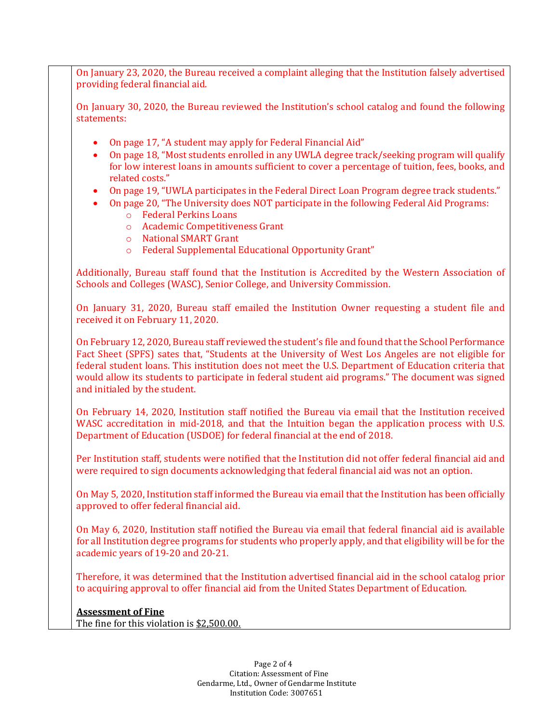On January 23, 2020, the Bureau received a complaint alleging that the Institution falsely advertised providing federal financial aid.

 On January 30, 2020, the Bureau reviewed the Institution's school catalog and found the following statements:

- On page 17, "A student may apply for Federal Financial Aid"
- • On page 18, "Most students enrolled in any UWLA degree track/seeking program will qualify for low interest loans in amounts sufficient to cover a percentage of tuition, fees, books, and related costs."
- On page 19, "UWLA participates in the Federal Direct Loan Program degree track students."
- • On page 20, "The University does NOT participate in the following Federal Aid Programs:
	- o Federal Perkins Loans
	- o Academic Competitiveness Grant
	- o National SMART Grant
	- o Federal Supplemental Educational Opportunity Grant"

 Schools and Colleges (WASC), Senior College, and University Commission. Additionally, Bureau staff found that the Institution is Accredited by the Western Association of

 received it on February 11, 2020. On January 31, 2020, Bureau staff emailed the Institution Owner requesting a student file and

 and initialed by the student. On February 12, 2020, Bureau staff reviewed the student's file and found that the School Performance Fact Sheet (SPFS) sates that, "Students at the University of West Los Angeles are not eligible for federal student loans. This institution does not meet the U.S. Department of Education criteria that would allow its students to participate in federal student aid programs." The document was signed

 On February 14, 2020, Institution staff notified the Bureau via email that the Institution received Department of Education (USDOE) for federal financial at the end of 2018. WASC accreditation in mid-2018, and that the Intuition began the application process with U.S.

 Per Institution staff, students were notified that the Institution did not offer federal financial aid and were required to sign documents acknowledging that federal financial aid was not an option.

 On May 5, 2020, Institution staff informed the Bureau via email that the Institution has been officially approved to offer federal financial aid.

 for all Institution degree programs for students who properly apply, and that eligibility will be for the On May 6, 2020, Institution staff notified the Bureau via email that federal financial aid is available academic years of 19-20 and 20-21.

 Therefore, it was determined that the Institution advertised financial aid in the school catalog prior to acquiring approval to offer financial aid from the United States Department of Education.

### **Assessment of Fine**

The fine for this violation is <u>[\\$2,500.00](https://2,500.00).</u>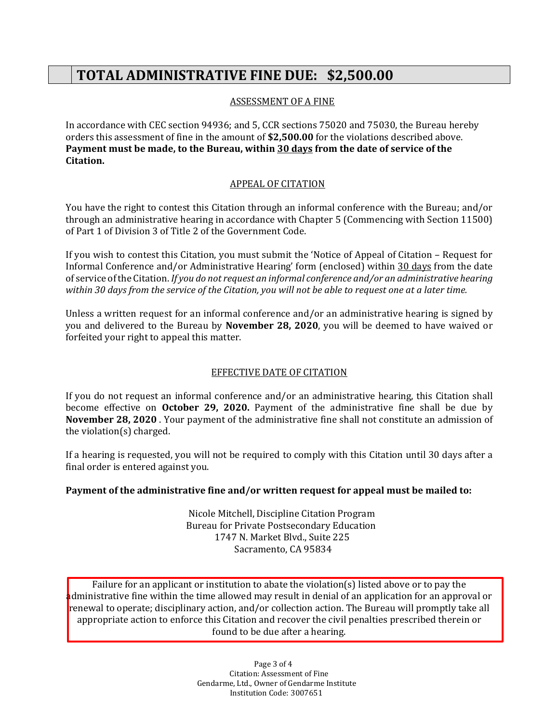# **TOTAL ADMINISTRATIVE FINE DUE: \$2,500.00**

### ASSESSMENT OF A FINE

 In accordance with CEC section 94936; and 5, CCR sections 75020 and 75030, the Bureau hereby orders this assessment of fine in the amount of **[\\$2,500.00](https://2,500.00)** for the violations described above.  **Payment must be made, to the Bureau, within 30 days from the date of service of the Citation.** 

### APPEAL OF CITATION

 You have the right to contest this Citation through an informal conference with the Bureau; and/or through an administrative hearing in accordance with Chapter 5 (Commencing with Section 11500) of Part 1 of Division 3 of Title 2 of the Government Code.

 If you wish to contest this Citation, you must submit the 'Notice of Appeal of Citation – Request for Informal Conference and/or Administrative Hearing' form (enclosed) within 30 days from the date  *within 30 days from the service of the Citation, you will not be able to request one at a later time.*  of service of the Citation. *If you do not request an informal conference and/or an administrative hearing* 

 Unless a written request for an informal conference and/or an administrative hearing is signed by forfeited your right to appeal this matter. you and delivered to the Bureau by **November 28, 2020**, you will be deemed to have waived or

### EFFECTIVE DATE OF CITATION

 If you do not request an informal conference and/or an administrative hearing, this Citation shall the violation(s) charged. become effective on **October 29, 2020.** Payment of the administrative fine shall be due by **November 28, 2020** . Your payment of the administrative fine shall not constitute an admission of

 final order is entered against you. If a hearing is requested, you will not be required to comply with this Citation until 30 days after a

### **Payment of the administrative fine and/or written request for appeal must be mailed to:**

Nicole Mitchell, Discipline Citation Program Bureau for Private Postsecondary Education 1747 N. Market Blvd., Suite 225 Sacramento, CA 95834

 Failure for an applicant or institution to abate the violation(s) listed above or to pay the administrative fine within the time allowed may result in denial of an application for an approval or renewal to operate; disciplinary action, and/or collection action. The Bureau will promptly take all appropriate action to enforce this Citation and recover the civil penalties prescribed therein or found to be due after a hearing.